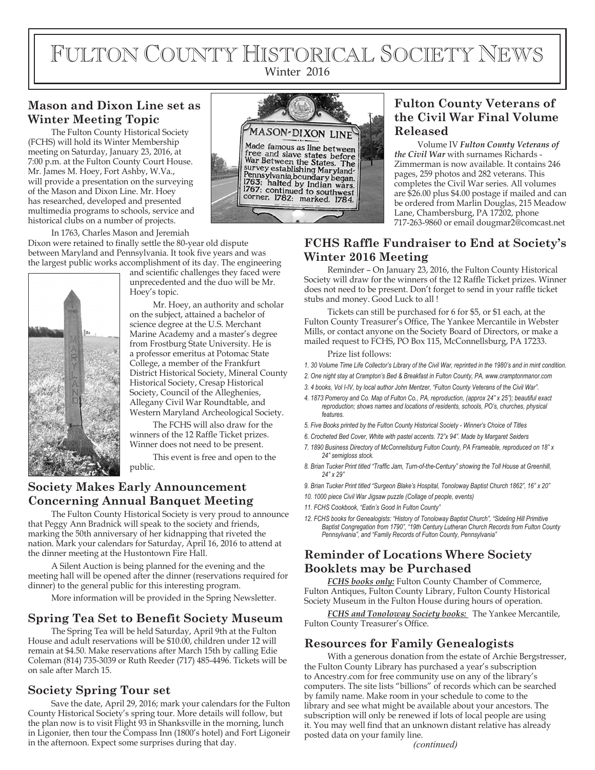# FULTON COUNTY HISTORICAL SOCIETY NEWS Winter 2016

# **Mason and Dixon Line set as Winter Meeting Topic**

The Fulton County Historical Society (FCHS) will hold its Winter Membership meeting on Saturday, January 23, 2016, at 7:00 p.m. at the Fulton County Court House. Mr. James M. Hoey, Fort Ashby, W.Va., will provide a presentation on the surveying of the Mason and Dixon Line. Mr. Hoey has researched, developed and presented multimedia programs to schools, service and historical clubs on a number of projects.

In 1763, Charles Mason and Jeremiah Dixon were retained to finally settle the 80-year old dispute between Maryland and Pennsylvania. It took five years and was the largest public works accomplishment of its day. The engineering



and scientific challenges they faced were unprecedented and the duo will be Mr. Hoey's topic.

Mr. Hoey, an authority and scholar on the subject, attained a bachelor of science degree at the U.S. Merchant Marine Academy and a master's degree from Frostburg State University. He is a professor emeritus at Potomac State College, a member of the Frankfurt District Historical Society, Mineral County Historical Society, Cresap Historical Society, Council of the Alleghenies, Allegany Civil War Roundtable, and Western Maryland Archeological Society.

The FCHS will also draw for the winners of the 12 Raffle Ticket prizes. Winner does not need to be present.

This event is free and open to the public.

# **Society Makes Early Announcement Concerning Annual Banquet Meeting**

The Fulton County Historical Society is very proud to announce that Peggy Ann Bradnick will speak to the society and friends, marking the 50th anniversary of her kidnapping that riveted the nation. Mark your calendars for Saturday, April 16, 2016 to attend at the dinner meeting at the Hustontown Fire Hall.

A Silent Auction is being planned for the evening and the meeting hall will be opened after the dinner (reservations required for dinner) to the general public for this interesting program.

More information will be provided in the Spring Newsletter.

# **Spring Tea Set to Benefit Society Museum**

The Spring Tea will be held Saturday, April 9th at the Fulton House and adult reservations will be \$10.00, children under 12 will remain at \$4.50. Make reservations after March 15th by calling Edie Coleman (814) 735-3039 or Ruth Reeder (717) 485-4496. Tickets will be on sale after March 15.

# **Society Spring Tour set**

Save the date, April 29, 2016; mark your calendars for the Fulton County Historical Society's spring tour. More details will follow, but the plan now is to visit Flight 93 in Shanksville in the morning, lunch in Ligonier, then tour the Compass Inn (1800's hotel) and Fort Ligoneir in the afternoon. Expect some surprises during that day. *(continued)*



# **Fulton County Veterans of the Civil War Final Volume Released**

Volume IV *Fulton County Veterans of the Civil War* with surnames Richards - Zimmerman is now available. It contains 246 pages, 259 photos and 282 veterans. This completes the Civil War series. All volumes are \$26.00 plus \$4.00 postage if mailed and can be ordered from Marlin Douglas, 215 Meadow Lane, Chambersburg, PA 17202, phone 717-263-9860 or email dougmar2@comcast.net

# **FCHS Raffle Fundraiser to End at Society's Winter 2016 Meeting**

Reminder – On January 23, 2016, the Fulton County Historical Society will draw for the winners of the 12 Raffle Ticket prizes. Winner does not need to be present. Don't forget to send in your raffle ticket stubs and money. Good Luck to all !

Tickets can still be purchased for 6 for \$5, or \$1 each, at the Fulton County Treasurer's Office, The Yankee Mercantile in Webster Mills, or contact anyone on the Society Board of Directors, or make a mailed request to FCHS, PO Box 115, McConnellsburg, PA 17233.

Prize list follows:

*1. 30 Volume Time Life Collector's Library of the Civil War, reprinted in the 1980's and in mint condition.*

- *2. One night stay at Crampton's Bed & Breakfast in Fulton County, PA, www.cramptonmanor.com*
- *3. 4 books, Vol I-IV, by local author John Mentzer, "Fulton County Veterans of the Civil War".*
- *4. 1873 Pomeroy and Co. Map of Fulton Co., PA, reproduction, (approx 24" x 25"); beautiful exact reproduction; shows names and locations of residents, schools, PO's, churches, physical features.*
- *5. Five Books printed by the Fulton County Historical Society Winner's Choice of Titles*
- *6. Crocheted Bed Cover, White with pastel accents. 72"x 94". Made by Margaret Seiders*
- *7. 1890 Business Directory of McConnellsburg Fulton County, PA Frameable, reproduced on 18" x 24" semigloss stock.*
- 8. Brian Tucker Print titled "Traffic Jam, Turn-of-the-Century" showing the Toll House at Greenhill, *24" x 29"*
- *9. Brian Tucker Print titled "Surgeon Blake's Hospital, Tonoloway Baptist Church 1862", 16" x 20"*
- *10. 1000 piece Civil War Jigsaw puzzle (Collage of people, events)*
- *11. FCHS Cookbook, "Eatin's Good In Fulton County"*
- *12. FCHS books for Genealogists: "History of Tonoloway Baptist Church", "Sideling Hill Primitive Baptist Congregation from 1790", "19th Century Lutheran Church Records from Fulton County Pennsylvania", and "Family Records of Fulton County, Pennsylvania"*

# **Reminder of Locations Where Society Booklets may be Purchased**

*FCHS books only:* Fulton County Chamber of Commerce, Fulton Antiques, Fulton County Library, Fulton County Historical Society Museum in the Fulton House during hours of operation.

*FCHS and Tonoloway Society books:* The Yankee Mercantile, Fulton County Treasurer's Office.

## **Resources for Family Genealogists**

With a generous donation from the estate of Archie Bergstresser, the Fulton County Library has purchased a year's subscription to Ancestry.com for free community use on any of the library's computers. The site lists "billions" of records which can be searched by family name. Make room in your schedule to come to the library and see what might be available about your ancestors. The subscription will only be renewed if lots of local people are using it. You may well find that an unknown distant relative has already posted data on your family line.